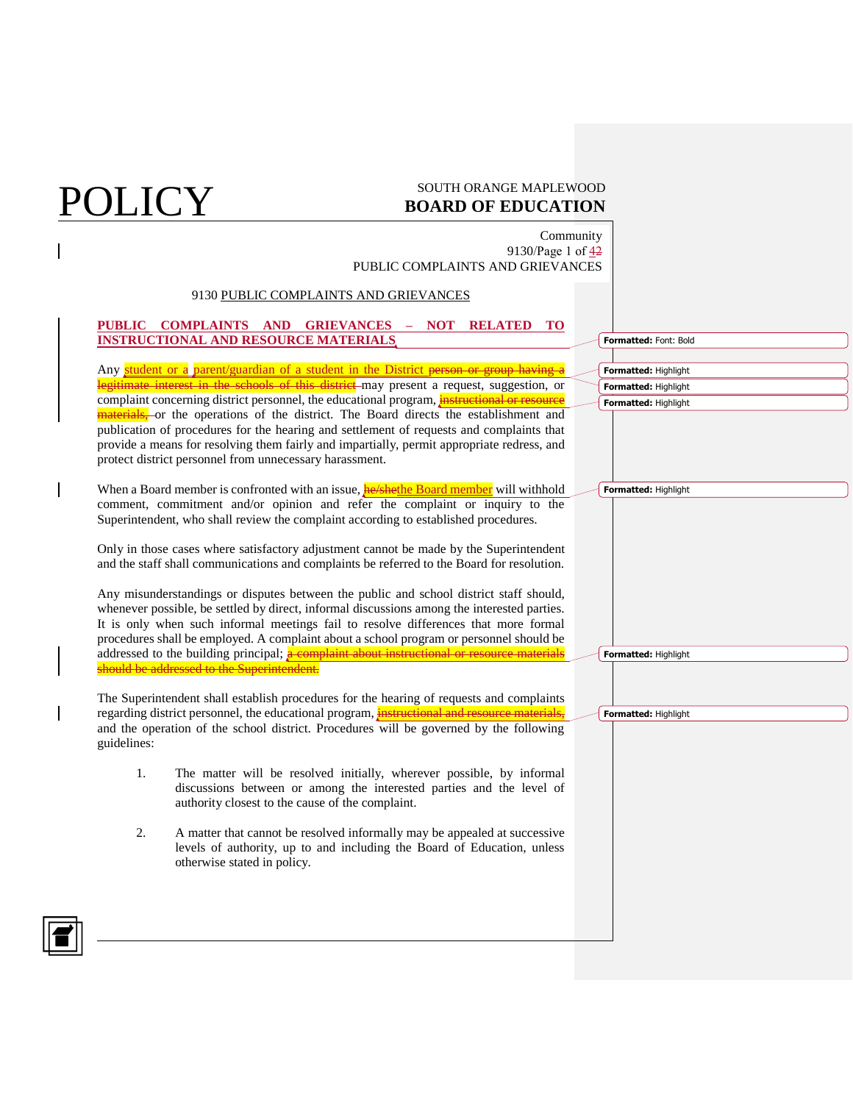## **POLICY** SOUTH ORANGE MAPLEWOOD **BOARD OF EDUCATION**

Community 9130/Page 1 of 42 PUBLIC COMPLAINTS AND GRIEVANCES

### 9130 PUBLIC COMPLAINTS AND GRIEVANCES

### **PUBLIC COMPLAINTS AND GRIEVANCES – NOT RELATED TO INSTRUCTIONAL AND RESOURCE MATERIALS**

Any student or a parent/guardian of a student in the District person or group having a legitimate interest in the schools of this district-may present a request, suggestion, or complaint concerning district personnel, the educational program, instructional or resource materials, or the operations of the district. The Board directs the establishment and publication of procedures for the hearing and settlement of requests and complaints that provide a means for resolving them fairly and impartially, permit appropriate redress, and protect district personnel from unnecessary harassment.

When a Board member is confronted with an issue, **he/shethe Board member** will withhold comment, commitment and/or opinion and refer the complaint or inquiry to the Superintendent, who shall review the complaint according to established procedures.

Only in those cases where satisfactory adjustment cannot be made by the Superintendent and the staff shall communications and complaints be referred to the Board for resolution.

Any misunderstandings or disputes between the public and school district staff should, whenever possible, be settled by direct, informal discussions among the interested parties. It is only when such informal meetings fail to resolve differences that more formal procedures shall be employed. A complaint about a school program or personnel should be addressed to the building principal;  $\frac{a}{b}$  complaint about instructional or resource materials should be addressed to the Superintendent.

The Superintendent shall establish procedures for the hearing of requests and complaints regarding district personnel, the educational program, *instructional and resource materials*, and the operation of the school district. Procedures will be governed by the following guidelines:

- 1. The matter will be resolved initially, wherever possible, by informal discussions between or among the interested parties and the level of authority closest to the cause of the complaint.
- 2. A matter that cannot be resolved informally may be appealed at successive levels of authority, up to and including the Board of Education, unless otherwise stated in policy.

|                      | Formatted: Font: Bold |  |  |  |  |
|----------------------|-----------------------|--|--|--|--|
|                      |                       |  |  |  |  |
|                      | Formatted: Highlight  |  |  |  |  |
|                      | Formatted: Highlight  |  |  |  |  |
|                      | Formatted: Highlight  |  |  |  |  |
|                      |                       |  |  |  |  |
|                      | Formatted: Highlight  |  |  |  |  |
|                      |                       |  |  |  |  |
|                      | Formatted: Highlight  |  |  |  |  |
|                      |                       |  |  |  |  |
| Formatted: Highlight |                       |  |  |  |  |
|                      |                       |  |  |  |  |

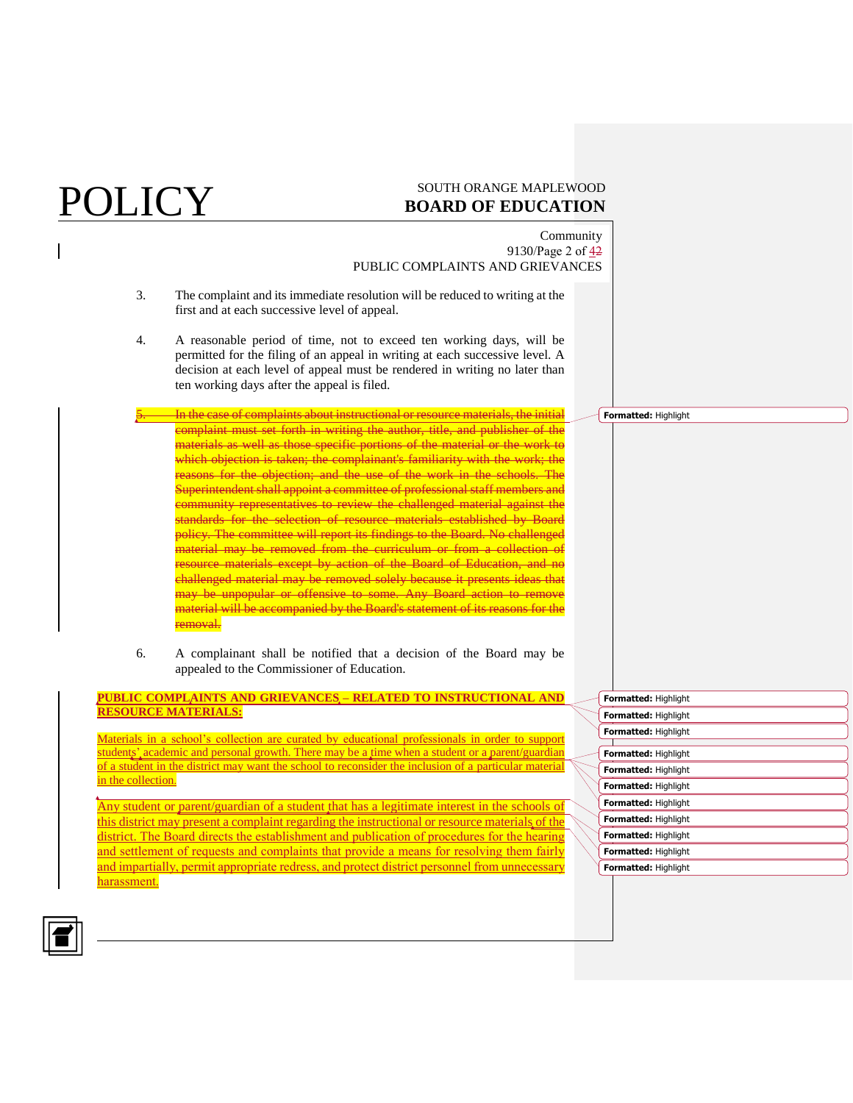## **POLICY** SOUTH ORANGE MAPLEWOOD **BOARD OF EDUCATION**

Community 9130/Page 2 of 42 PUBLIC COMPLAINTS AND GRIEVANCES

- 3. The complaint and its immediate resolution will be reduced to writing at the first and at each successive level of appeal.
- 4. A reasonable period of time, not to exceed ten working days, will be permitted for the filing of an appeal in writing at each successive level. A decision at each level of appeal must be rendered in writing no later than ten working days after the appeal is filed.
	- In the case of complaints about instructional or resource materials, the initial complaint must set forth in writing the author, title, and publisher of the materials as well as those specific portions of the material or the work to which objection is taken; the complainant's familiarity with the work; the reasons for the objection; and the use of the work in the schools. The Superintendent shall appoint a committee of professional staff members and community representatives to review the challenged material against the standards for the selection of resource materials established by Board policy. The committee will report its findings to the Board. No challenged material may be removed from the curriculum or from a collection of resource materials except by action of the Board of Education, and no challenged material may be removed solely because it presents ideas that may be unpopular or offensive to some. Any Board action to remove material will be accompanied by the Board's statement of its reasons for the removal.
- 6. A complainant shall be notified that a decision of the Board may be appealed to the Commissioner of Education.

**PUBLIC COMPLAINTS AND GRIEVANCES – RELATED TO INSTRUCTIONAL AND RESOURCE MATERIALS:** 

Materials in a school's collection are curated by educational professionals in order to support students' academic and personal growth. There may be a time when a student or a parent/guardian of a student in the district may want the school to reconsider the inclusion of a particular material in the collection.

Any student or parent/guardian of a student that has a legitimate interest in the schools of this district may present a complaint regarding the instructional or resource materials of the district. The Board directs the establishment and publication of procedures for the hearing and settlement of requests and complaints that provide a means for resolving them fairly and impartially, permit appropriate redress, and protect district personnel from unnecessary harassment.

| Formatted: Highlight |
|----------------------|
| Formatted: Highlight |
| Formatted: Highlight |
|                      |
| Formatted: Highlight |
| Formatted: Highlight |
| Formatted: Highlight |
| Formatted: Highlight |
| Formatted: Highlight |
| Formatted: Highlight |
| Formatted: Highlight |
| Formatted: Highlight |

**Formatted:** Highlight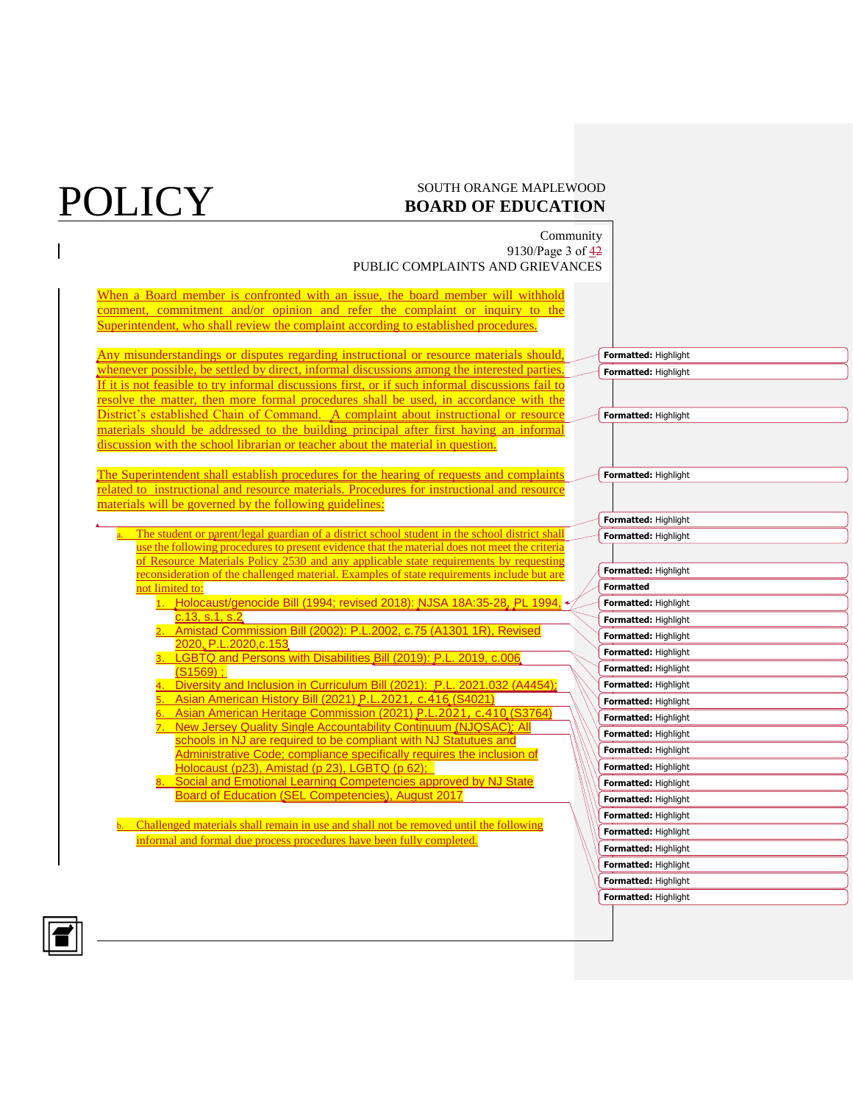### **POLICY** SOUTH ORANGE MAPLEWOOD **BOARD OF EDUCATION**

Community 9130/Page 3 of 42 PUBLIC COMPLAINTS AND GRIEVANCES

When a Board member is confronted with an issue, the board member will withhold comment, commitment and/or opinion and refer the complaint or inquiry to the Superintendent, who shall review the complaint according to established procedures.

Any misunderstandings or disputes regarding instructional or resource materials should, whenever possible, be settled by direct, informal discussions among the interested parties. If it is not feasible to try informal discussions first, or if such informal discussions fail to resolve the matter, then more formal procedures shall be used, in accordance with the District's established Chain of Command. A complaint about instructional or resource materials should be addressed to the building principal after first having an informal discussion with the school librarian or teacher about the material in question.

The Superintendent shall establish procedures for the hearing of requests and complaints related to instructional and resource materials. Procedures for instructional and resource materials will be governed by the following guidelines:

The student or parent/legal guardian of a district school student in the school district shall use the following procedures to present evidence that the material does not meet the criteria of Resource Materials Policy 2530 and any applicable state requirements by requesting reconsideration of the challenged material. Examples of state requirements include but are not limited to:

- 1. Holocaust/genocide Bill (1994; revised 2018): [NJSA 18A:35-28](https://www.nj.gov/education/holocaust/about/), [PL 1994,](https://remember.org/educate/legis)  [c.13, s.1, s.2](https://remember.org/educate/legis)
- 2. Amistad Commission Bill (2002): P.L.2002, c.75 (A1301 1R), Revised 2020, [P.L.2020,c.153](https://legiscan.com/NJ/text/S1028/2020)
- LGBTQ and Persons with Disabilities Bill (2019): [P.L. 2019, c.006](https://legiscan.com/NJ/bill/S1569/2018)  $(S1569)$ ;
- Diversity and Inclusion in Curriculum Bill (2021): [P.L. 2021.032 \(A4454\);](https://legiscan.com/NJ/text/A4454/id/2352988)
- 5. Asian American History Bill (2021) [P.L.2021, c.416](https://legiscan.com/NJ/bill/S4021/2020) (S4021) Asian American Heritage Commission (2021) [P.L.2021, c.410](https://legiscan.com/NJ/bill/S3764/2020) (S3764)
- 7. New Jersey Quality Single Accountability Continuum [\(NJQSAC\):](https://www.nj.gov/education/qsac/manual/docs/manual.pdf) All schools in NJ are required to be compliant with NJ Statutues and Administrative Code; compliance specifically requires the inclusion of
- Holocaust (p23), Amistad (p 23), LGBTQ (p 62); Social and Emotional Learning Competencies approved by NJ State
- Board of Education [\(SEL Competencies\)](https://www.nj.gov/education/safety/wellness/selearning/docs/SELCompetencies.pdf), August 2017

b. Challenged materials shall remain in use and shall not be removed until the following informal and formal due process procedures have been fully completed.

| Formatted: Highlight        |
|-----------------------------|
| Formatted: Highlight        |
|                             |
|                             |
| Formatted: Highlight        |
|                             |
|                             |
| Formatted: Highlight        |
|                             |
|                             |
| Formatted: Highlight        |
| Formatted: Highlight        |
|                             |
| Formatted: Highlight        |
| <b>Formatted</b>            |
| Formatted: Highlight        |
| Formatted: Highlight        |
| Formatted: Highlight        |
| Formatted: Highlight        |
| Formatted: Highlight        |
| Formatted: Highlight        |
| Formatted: Highlight        |
| <b>Formatted: Highlight</b> |
| Formatted: Highlight        |
| Formatted: Highlight        |
| Formatted: Highlight        |
| Formatted: Highlight        |
| Formatted: Highlight        |
| <b>Formatted: Highlight</b> |
| Formatted: Highlight        |
| Formatted: Highlight        |
| Formatted: Highlight        |
| Formatted: Highlight        |
| Formatted: Highlight        |
|                             |